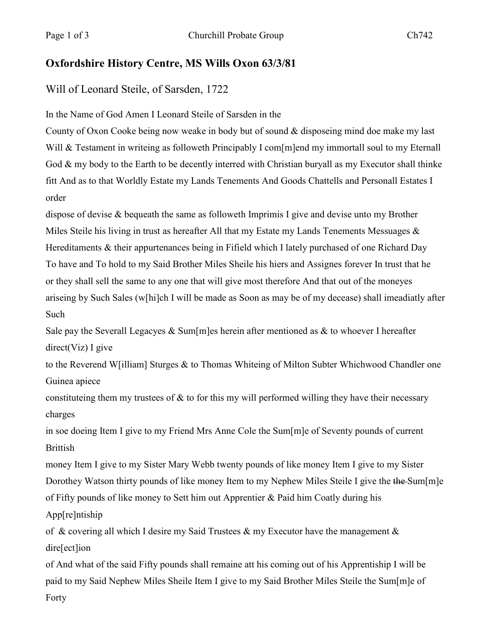## **Oxfordshire History Centre, MS Wills Oxon 63/3/81**

## Will of Leonard Steile, of Sarsden, 1722

In the Name of God Amen I Leonard Steile of Sarsden in the

County of Oxon Cooke being now weake in body but of sound & disposeing mind doe make my last Will & Testament in writeing as followeth Principably I com[m]end my immortall soul to my Eternall God & my body to the Earth to be decently interred with Christian buryall as my Executor shall thinke fitt And as to that Worldly Estate my Lands Tenements And Goods Chattells and Personall Estates I order

dispose of devise & bequeath the same as followeth Imprimis I give and devise unto my Brother Miles Steile his living in trust as hereafter All that my Estate my Lands Tenements Messuages & Hereditaments & their appurtenances being in Fifield which I lately purchased of one Richard Day To have and To hold to my Said Brother Miles Sheile his hiers and Assignes forever In trust that he or they shall sell the same to any one that will give most therefore And that out of the moneyes ariseing by Such Sales (w[hi]ch I will be made as Soon as may be of my decease) shall imeadiatly after Such

Sale pay the Severall Legacyes & Sum[m]es herein after mentioned as & to whoever I hereafter direct(Viz) I give

to the Reverend W[illiam] Sturges & to Thomas Whiteing of Milton Subter Whichwood Chandler one Guinea apiece

constituteing them my trustees of  $\&$  to for this my will performed willing they have their necessary charges

in soe doeing Item I give to my Friend Mrs Anne Cole the Sum[m]e of Seventy pounds of current Brittish

money Item I give to my Sister Mary Webb twenty pounds of like money Item I give to my Sister Dorothey Watson thirty pounds of like money Item to my Nephew Miles Steile I give the the Sum[m]e of Fifty pounds of like money to Sett him out Apprentier & Paid him Coatly during his App[re]ntiship

of & covering all which I desire my Said Trustees  $\&$  my Executor have the management  $\&$ dire[ect]ion

of And what of the said Fifty pounds shall remaine att his coming out of his Apprentiship I will be paid to my Said Nephew Miles Sheile Item I give to my Said Brother Miles Steile the Sum[m]e of Forty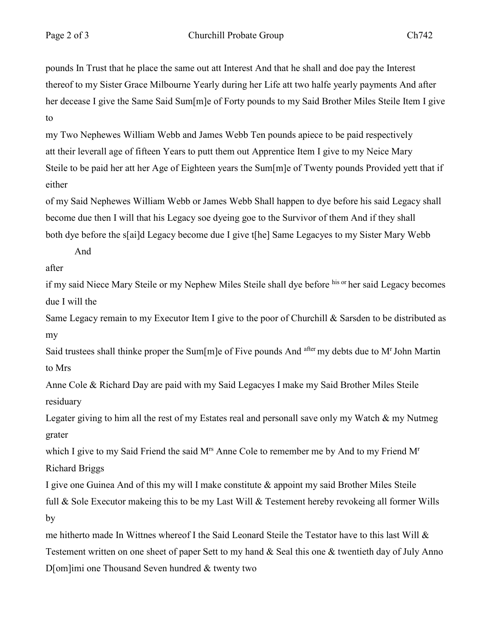pounds In Trust that he place the same out att Interest And that he shall and doe pay the Interest thereof to my Sister Grace Milbourne Yearly during her Life att two halfe yearly payments And after her decease I give the Same Said Sum[m]e of Forty pounds to my Said Brother Miles Steile Item I give to

my Two Nephewes William Webb and James Webb Ten pounds apiece to be paid respectively att their leverall age of fifteen Years to putt them out Apprentice Item I give to my Neice Mary Steile to be paid her att her Age of Eighteen years the Sum[m]e of Twenty pounds Provided yett that if either

of my Said Nephewes William Webb or James Webb Shall happen to dye before his said Legacy shall become due then I will that his Legacy soe dyeing goe to the Survivor of them And if they shall both dye before the s[ai]d Legacy become due I give t[he] Same Legacyes to my Sister Mary Webb

And

after

if my said Niece Mary Steile or my Nephew Miles Steile shall dye before his or her said Legacy becomes due I will the

Same Legacy remain to my Executor Item I give to the poor of Churchill & Sarsden to be distributed as my

Said trustees shall thinke proper the Sum[m]e of Five pounds And after my debts due to M<sup>r</sup> John Martin to Mrs

Anne Cole & Richard Day are paid with my Said Legacyes I make my Said Brother Miles Steile residuary

Legater giving to him all the rest of my Estates real and personall save only my Watch & my Nutmeg grater

which I give to my Said Friend the said M<sup>rs</sup> Anne Cole to remember me by And to my Friend M<sup>r</sup> Richard Briggs

I give one Guinea And of this my will I make constitute & appoint my said Brother Miles Steile full & Sole Executor makeing this to be my Last Will & Testement hereby revokeing all former Wills by

me hitherto made In Wittnes whereof I the Said Leonard Steile the Testator have to this last Will & Testement written on one sheet of paper Sett to my hand & Seal this one & twentieth day of July Anno D[om]imi one Thousand Seven hundred & twenty two